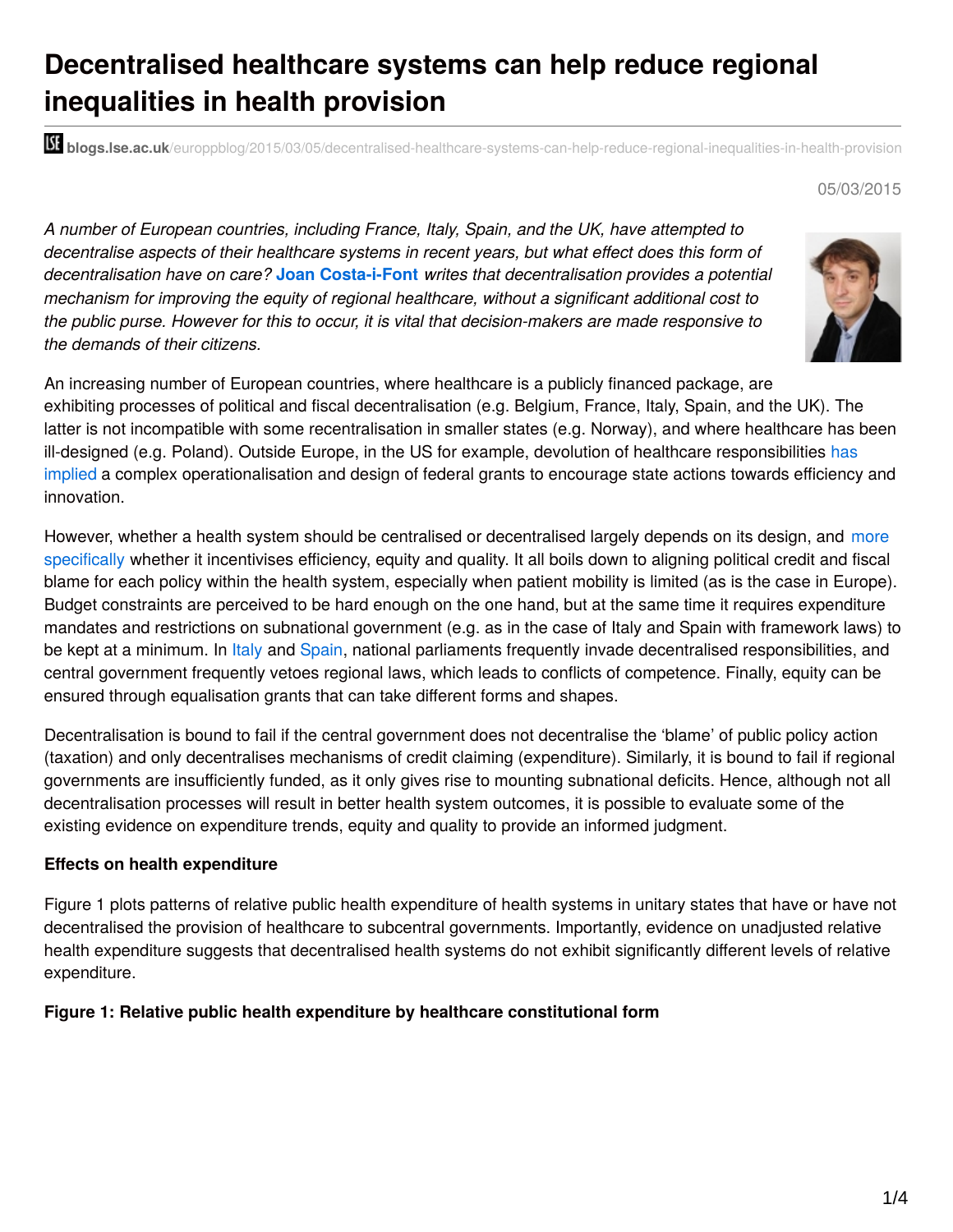# **Decentralised healthcare systems can help reduce regional inequalities in health provision**

**bli blogs.lse.ac.uk**/europpblog/2015/03/05/decentralised-healthcare-systems-can-help-reduce-regional-inequalities-in-health-provision

#### 05/03/2015

*A number of European countries, including France, Italy, Spain, and the UK, have attempted to decentralise aspects of their healthcare systems in recent years, but what effect does this form of decentralisation have on care?* **Joan Costa-i-Font** *writes that decentralisation provides a potential mechanism for improving the equity of regional healthcare, without a significant additional cost to the public purse. However for this to occur, it is vital that decision-makers are made responsive to the demands of their citizens.*



An increasing number of European countries, where healthcare is a publicly financed package, are exhibiting processes of political and fiscal decentralisation (e.g. Belgium, France, Italy, Spain, and the UK). The latter is not incompatible with some recentralisation in smaller states (e.g. Norway), and where healthcare has been ill-designed (e.g. Poland). Outside Europe, in the US for example, devolution of healthcare responsibilities has implied a complex [operationalisation](http://www.nber.org/papers/w16772) and design of federal grants to encourage state actions towards efficiency and innovation.

However, whether a health system should be centralised or [decentralised](http://www.palgrave.com/page/detail/federalism-and-decentralization-in-european-health-and-social-care-joan-costafont/?K=9780230285248) largely depends on its design, and more specifically whether it incentivises efficiency, equity and quality. It all boils down to aligning political credit and fiscal blame for each policy within the health system, especially when patient mobility is limited (as is the case in Europe). Budget constraints are perceived to be hard enough on the one hand, but at the same time it requires expenditure mandates and restrictions on subnational government (e.g. as in the case of Italy and Spain with framework laws) to be kept at a minimum. In [Italy](https://www.imf.org/external/pubs/ft/seminar/2000/idn/italy.pdf) and [Spain](http://link.springer.com/article/10.1007%2Fs11127-005-9011-y#page-1), national parliaments frequently invade decentralised responsibilities, and central government frequently vetoes regional laws, which leads to conflicts of competence. Finally, equity can be ensured through equalisation grants that can take different forms and shapes.

Decentralisation is bound to fail if the central government does not decentralise the 'blame' of public policy action (taxation) and only decentralises mechanisms of credit claiming (expenditure). Similarly, it is bound to fail if regional governments are insufficiently funded, as it only gives rise to mounting subnational deficits. Hence, although not all decentralisation processes will result in better health system outcomes, it is possible to evaluate some of the existing evidence on expenditure trends, equity and quality to provide an informed judgment.

#### **Effects on health expenditure**

Figure 1 plots patterns of relative public health expenditure of health systems in unitary states that have or have not decentralised the provision of healthcare to subcentral governments. Importantly, evidence on unadjusted relative health expenditure suggests that decentralised health systems do not exhibit significantly different levels of relative expenditure.

#### **Figure 1: Relative public health expenditure by healthcare constitutional form**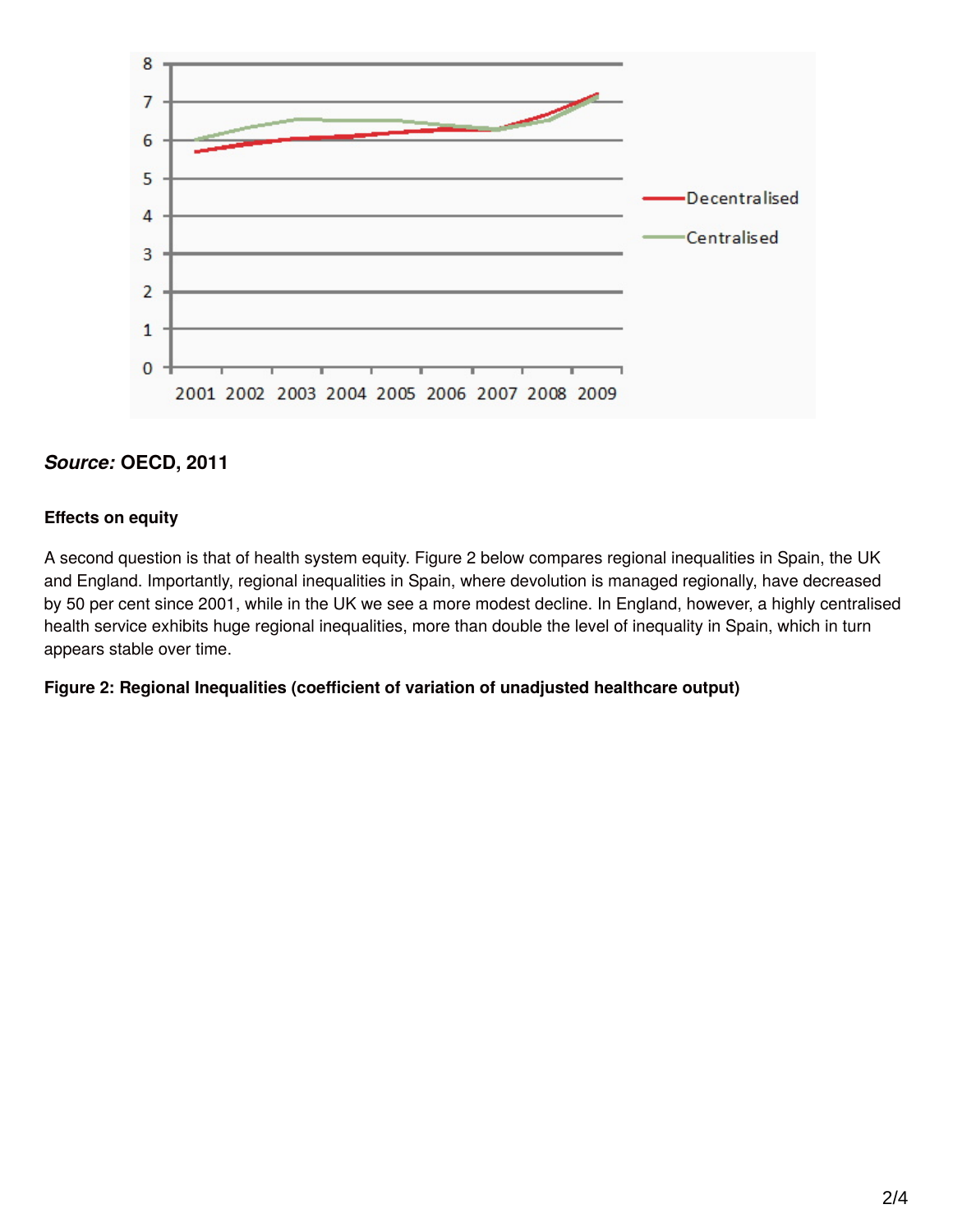

## *Source:* **OECD, 2011**

#### **Effects on equity**

A second question is that of health system equity. Figure 2 below compares regional inequalities in Spain, the UK and England. Importantly, regional inequalities in Spain, where devolution is managed regionally, have decreased by 50 per cent since 2001, while in the UK we see a more modest decline. In England, however, a highly centralised health service exhibits huge regional inequalities, more than double the level of inequality in Spain, which in turn appears stable over time.

#### **Figure 2: Regional Inequalities (coefficient of variation of unadjusted healthcare output)**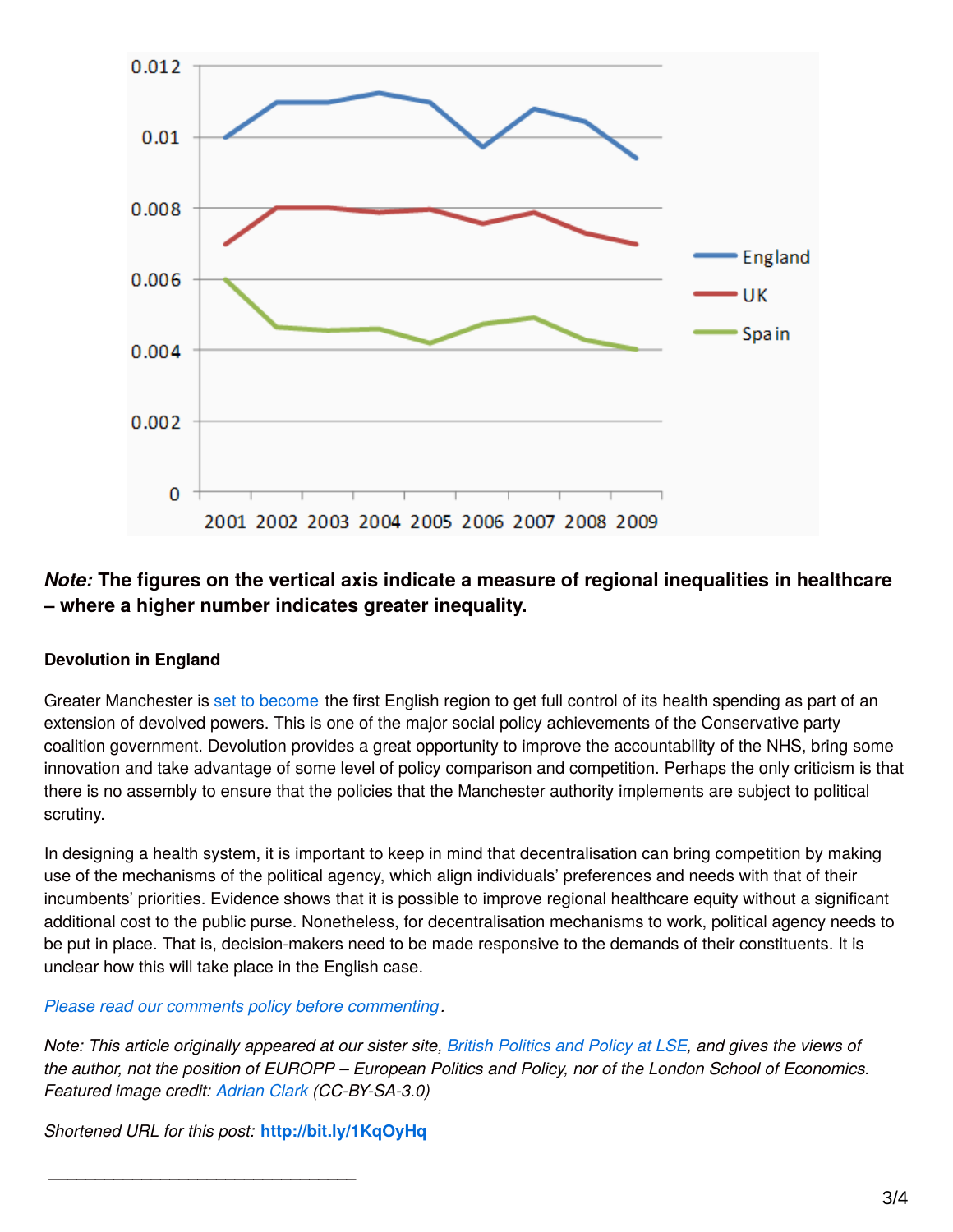

## *Note:* **The figures on the vertical axis indicate a measure of regional inequalities in healthcare – where a higher number indicates greater inequality.**

#### **Devolution in England**

Greater Manchester is set to [become](http://www.bbc.co.uk/news/uk-england-manchester-31615218) the first English region to get full control of its health spending as part of an extension of devolved powers. This is one of the major social policy achievements of the Conservative party coalition government. Devolution provides a great opportunity to improve the accountability of the NHS, bring some innovation and take advantage of some level of policy comparison and competition. Perhaps the only criticism is that there is no assembly to ensure that the policies that the Manchester authority implements are subject to political scrutiny.

In designing a health system, it is important to keep in mind that decentralisation can bring competition by making use of the mechanisms of the political agency, which align individuals' preferences and needs with that of their incumbents' priorities. Evidence shows that it is possible to improve regional healthcare equity without a significant additional cost to the public purse. Nonetheless, for decentralisation mechanisms to work, political agency needs to be put in place. That is, decision-makers need to be made responsive to the demands of their constituents. It is unclear how this will take place in the English case.

*Please read our comments policy before [commenting](http://blogs.lse.ac.uk/europpblog/about/comments-policy/).*

Note: This article originally appeared at our sister site, British [Politics](http://blogs.lse.ac.uk/politicsandpolicy/devolution-of-the-nhs-is-an-opportunity-to-reduce-inequalities/) and Policy at LSE, and gives the views of the author, not the position of EUROPP - European Politics and Policy, nor of the London School of Economics. *Featured image credit: [Adrian](https://www.flickr.com/photos/adrianclarkmbbs/3063516728) Clark (CC-BY-SA-3.0)*

*Shortened URL for this post:* **<http://bit.ly/1KqOyHq>**

\_\_\_\_\_\_\_\_\_\_\_\_\_\_\_\_\_\_\_\_\_\_\_\_\_\_\_\_\_\_\_\_\_